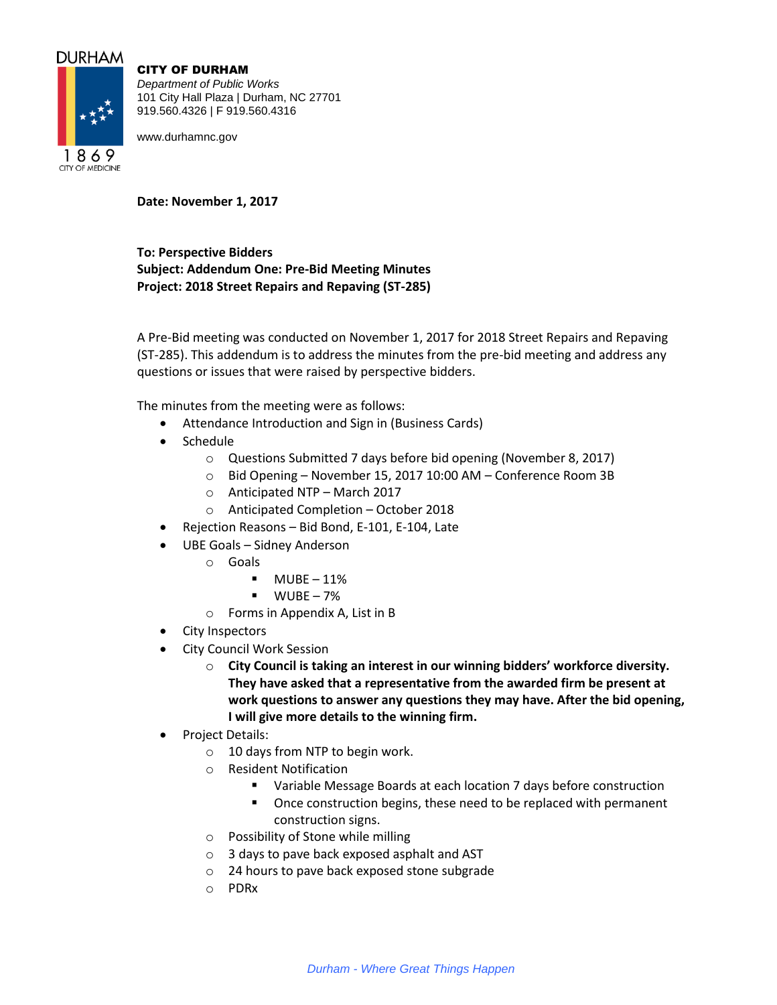# **DURHAM**



CITY OF DURHAM

*Department of Public Works* 101 City Hall Plaza | Durham, NC 27701 919.560.4326 | F 919.560.4316

www.durhamnc.gov

**Date: November 1, 2017**

**To: Perspective Bidders Subject: Addendum One: Pre-Bid Meeting Minutes Project: 2018 Street Repairs and Repaving (ST-285)**

A Pre-Bid meeting was conducted on November 1, 2017 for 2018 Street Repairs and Repaving (ST-285). This addendum is to address the minutes from the pre-bid meeting and address any questions or issues that were raised by perspective bidders.

The minutes from the meeting were as follows:

- Attendance Introduction and Sign in (Business Cards)
- Schedule
	- o Questions Submitted 7 days before bid opening (November 8, 2017)
	- o Bid Opening November 15, 2017 10:00 AM Conference Room 3B
	- o Anticipated NTP March 2017
	- o Anticipated Completion October 2018
- Rejection Reasons Bid Bond, E-101, E-104, Late
- UBE Goals Sidney Anderson
	- o Goals
		- $-MUBE 11%$
		- $WUBE 7%$
	- o Forms in Appendix A, List in B
- City Inspectors
- City Council Work Session
	- o **City Council is taking an interest in our winning bidders' workforce diversity. They have asked that a representative from the awarded firm be present at work questions to answer any questions they may have. After the bid opening, I will give more details to the winning firm.**
- Project Details:
	- o 10 days from NTP to begin work.
	- o Resident Notification
		- Variable Message Boards at each location 7 days before construction
		- Once construction begins, these need to be replaced with permanent construction signs.
	- o Possibility of Stone while milling
	- o 3 days to pave back exposed asphalt and AST
	- o 24 hours to pave back exposed stone subgrade
	- o PDRx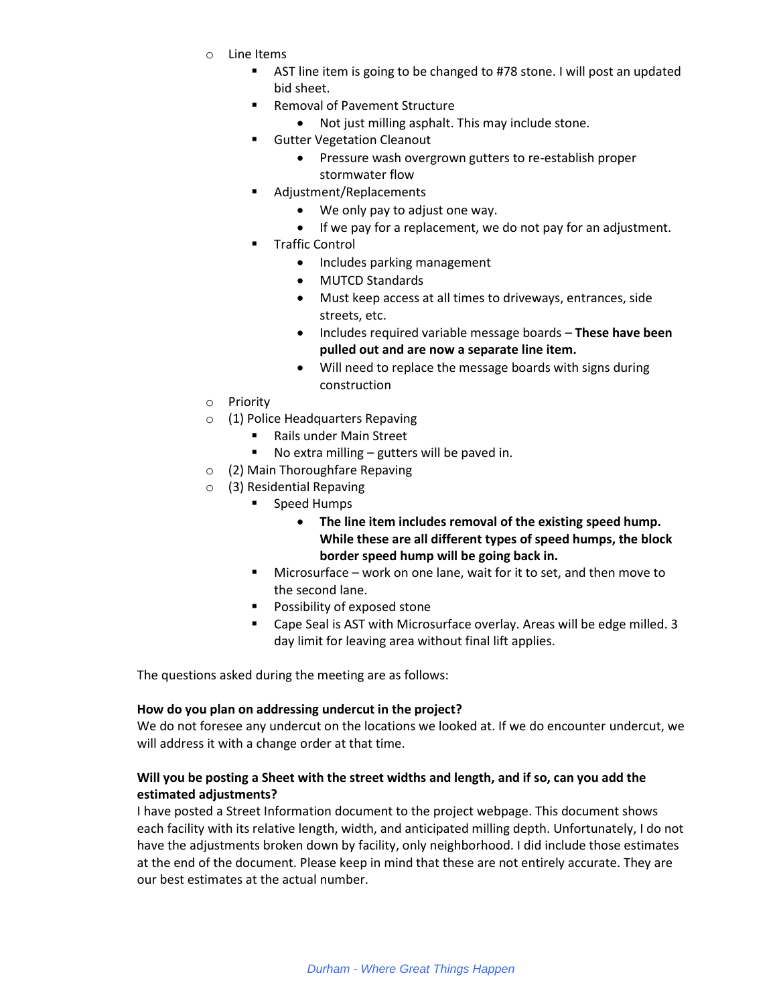- o Line Items
	- **EXT AST line item is going to be changed to #78 stone. I will post an updated** bid sheet.
	- **Removal of Pavement Structure** 
		- Not just milling asphalt. This may include stone.
	- **Gutter Vegetation Cleanout** 
		- Pressure wash overgrown gutters to re-establish proper stormwater flow
	- Adjustment/Replacements
		- We only pay to adjust one way.
		- If we pay for a replacement, we do not pay for an adjustment.
	- Traffic Control
		- Includes parking management
		- MUTCD Standards
		- Must keep access at all times to driveways, entrances, side streets, etc.
		- Includes required variable message boards **These have been pulled out and are now a separate line item.**
		- Will need to replace the message boards with signs during construction
- o Priority
- o (1) Police Headquarters Repaving
	- Rails under Main Street
	- No extra milling gutters will be paved in.
- o (2) Main Thoroughfare Repaving
- o (3) Residential Repaving
	- **Speed Humps** 
		- **The line item includes removal of the existing speed hump. While these are all different types of speed humps, the block border speed hump will be going back in.**
	- Microsurface work on one lane, wait for it to set, and then move to the second lane.
	- **Possibility of exposed stone**
	- Cape Seal is AST with Microsurface overlay. Areas will be edge milled. 3 day limit for leaving area without final lift applies.

The questions asked during the meeting are as follows:

#### **How do you plan on addressing undercut in the project?**

We do not foresee any undercut on the locations we looked at. If we do encounter undercut, we will address it with a change order at that time.

## **Will you be posting a Sheet with the street widths and length, and if so, can you add the estimated adjustments?**

I have posted a Street Information document to the project webpage. This document shows each facility with its relative length, width, and anticipated milling depth. Unfortunately, I do not have the adjustments broken down by facility, only neighborhood. I did include those estimates at the end of the document. Please keep in mind that these are not entirely accurate. They are our best estimates at the actual number.